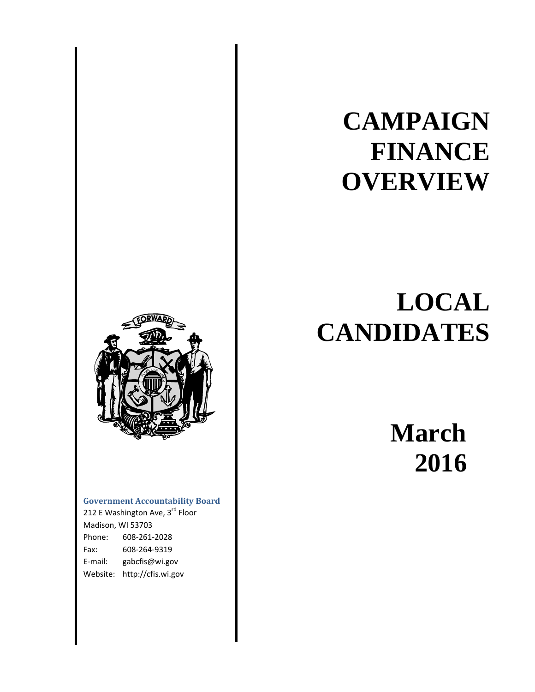### **Government Accountability Board**

212 E Washington Ave, 3rd Floor Madison, WI 53703 Phone: 608‐261‐2028 Fax: 608‐264‐9319 E‐mail: gabcfis@wi.gov Website: http://cfis.wi.gov

# **CAMPAIGN FINANCE OVERVIEW**

## **LOCAL CANDIDATES**

 **March 2016**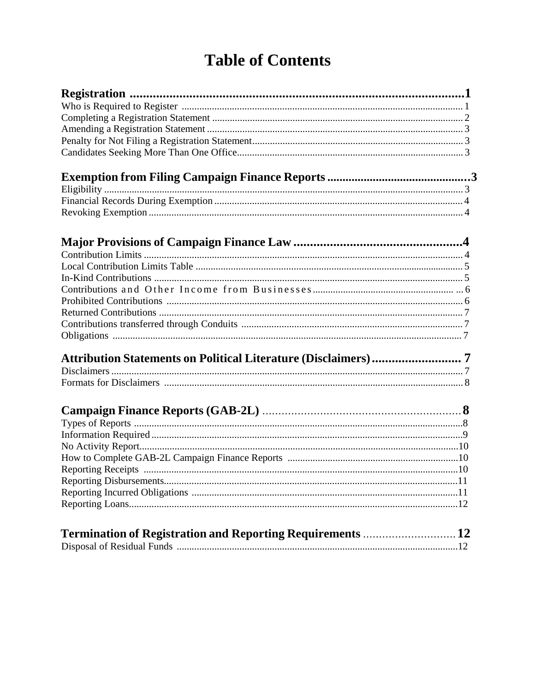### **Table of Contents**

| Attribution Statements on Political Literature (Disclaimers) 7 |  |
|----------------------------------------------------------------|--|
|                                                                |  |
|                                                                |  |
|                                                                |  |
|                                                                |  |
|                                                                |  |
|                                                                |  |
|                                                                |  |
|                                                                |  |
|                                                                |  |
|                                                                |  |
|                                                                |  |
|                                                                |  |
|                                                                |  |
| Termination of Registration and Reporting Requirements  12     |  |
|                                                                |  |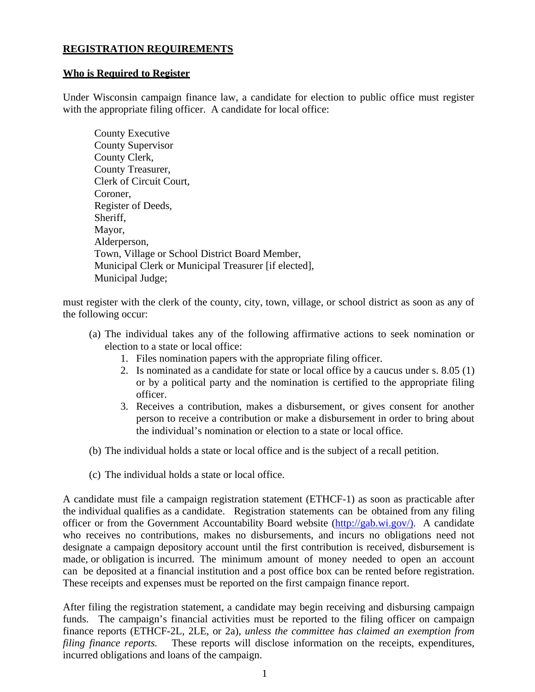#### **REGISTRATION REQUIREMENTS**

#### **Who is Required to Register**

Under Wisconsin campaign finance law, a candidate for election to public office must register with the appropriate filing officer. A candidate for local office:

County Executive County Supervisor County Clerk, County Treasurer, Clerk of Circuit Court, Coroner, Register of Deeds, Sheriff. Mayor, Alderperson, Town, Village or School District Board Member, Municipal Clerk or Municipal Treasurer [if elected], Municipal Judge;

must register with the clerk of the county, city, town, village, or school district as soon as any of the following occur:

- (a) The individual takes any of the following affirmative actions to seek nomination or election to a state or local office:
	- 1. Files nomination papers with the appropriate filing officer.
	- 2. Is nominated as a candidate for state or local office by a caucus under s. 8.05 (1) or by a political party and the nomination is certified to the appropriate filing officer.
	- 3. Receives a contribution, makes a disbursement, or gives consent for another person to receive a contribution or make a disbursement in order to bring about the individual's nomination or election to a state or local office.
- (b) The individual holds a state or local office and is the subject of a recall petition.
- (c) The individual holds a state or local office.

A candidate must file a campaign registration statement (ETHCF-1) as soon as practicable after the individual qualifies as a candidate. Registration statements can be obtained from any filing officer or from the Government Accountability Board website (http://gab.wi.gov/). A candidate who receives no contributions, makes no disbursements, and incurs no obligations need not designate a campaign depository account until the first contribution is received, disbursement is made, or obligation is incurred. The minimum amount of money needed to open an account can be deposited at a financial institution and a post office box can be rented before registration. These receipts and expenses must be reported on the first campaign finance report.

After filing the registration statement, a candidate may begin receiving and disbursing campaign funds. The campaign's financial activities must be reported to the filing officer on campaign finance reports (ETHCF-2L, 2LE, or 2a), *unless the committee has claimed an exemption from filing finance reports.* These reports will disclose information on the receipts, expenditures, incurred obligations and loans of the campaign.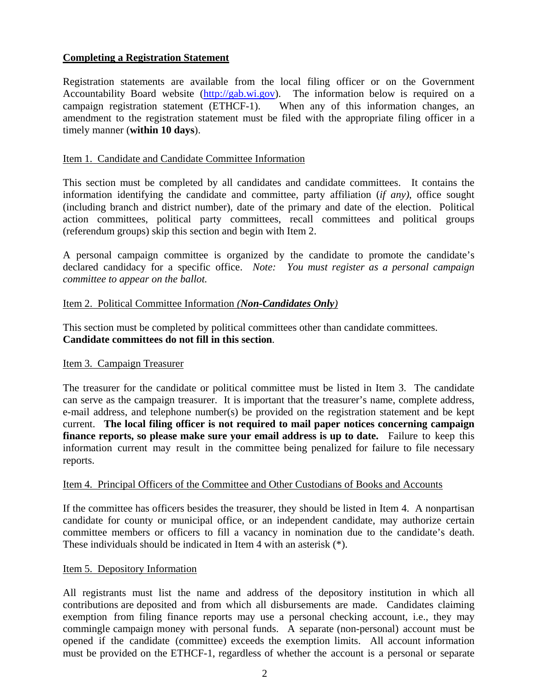#### **Completing a Registration Statement**

Registration statements are available from the local filing officer or on the Government Accountability Board website (http://gab.wi.gov). The information below is required on a campaign registration statement (ETHCF-1). When any of this information changes, an amendment to the registration statement must be filed with the appropriate filing officer in a timely manner (**within 10 days**).

#### Item 1. Candidate and Candidate Committee Information

This section must be completed by all candidates and candidate committees. It contains the information identifying the candidate and committee, party affiliation (*if any)*, office sought (including branch and district number), date of the primary and date of the election. Political action committees, political party committees, recall committees and political groups (referendum groups) skip this section and begin with Item 2.

A personal campaign committee is organized by the candidate to promote the candidate's declared candidacy for a specific office. *Note: You must register as a personal campaign committee to appear on the ballot.*

#### Item 2. Political Committee Information *(Non-Candidates Only)*

This section must be completed by political committees other than candidate committees. **Candidate committees do not fill in this section**.

#### Item 3. Campaign Treasurer

The treasurer for the candidate or political committee must be listed in Item 3. The candidate can serve as the campaign treasurer. It is important that the treasurer's name, complete address, e-mail address, and telephone number(s) be provided on the registration statement and be kept current. **The local filing officer is not required to mail paper notices concerning campaign finance reports, so please make sure your email address is up to date.** Failure to keep this information current may result in the committee being penalized for failure to file necessary reports.

#### Item 4. Principal Officers of the Committee and Other Custodians of Books and Accounts

If the committee has officers besides the treasurer, they should be listed in Item 4. A nonpartisan candidate for county or municipal office, or an independent candidate, may authorize certain committee members or officers to fill a vacancy in nomination due to the candidate's death. These individuals should be indicated in Item 4 with an asterisk (\*).

#### Item 5. Depository Information

All registrants must list the name and address of the depository institution in which all contributions are deposited and from which all disbursements are made. Candidates claiming exemption from filing finance reports may use a personal checking account, i.e., they may commingle campaign money with personal funds. A separate (non-personal) account must be opened if the candidate (committee) exceeds the exemption limits. All account information must be provided on the ETHCF-1, regardless of whether the account is a personal or separate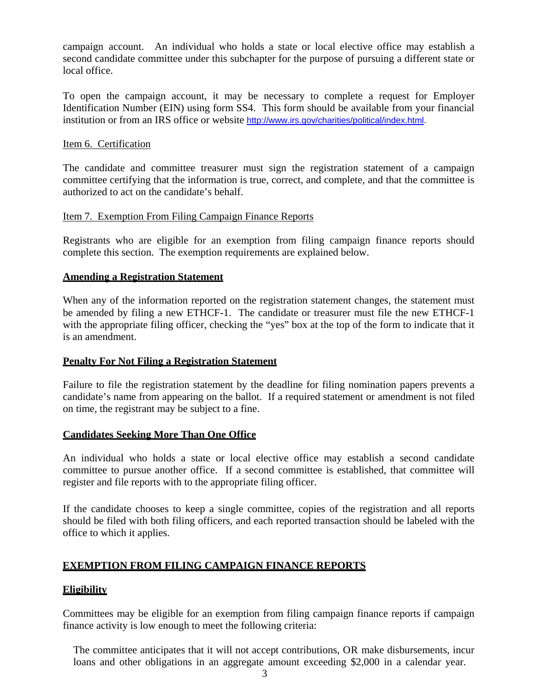campaign account. An individual who holds a state or local elective office may establish a second candidate committee under this subchapter for the purpose of pursuing a different state or local office.

To open the campaign account, it may be necessary to complete a request for Employer Identification Number (EIN) using form SS4. This form should be available from your financial institution or from an IRS office or website http://www.irs.gov/charities/political/index.html.

#### Item 6. Certification

The candidate and committee treasurer must sign the registration statement of a campaign committee certifying that the information is true, correct, and complete, and that the committee is authorized to act on the candidate's behalf.

#### Item 7. Exemption From Filing Campaign Finance Reports

Registrants who are eligible for an exemption from filing campaign finance reports should complete this section. The exemption requirements are explained below.

#### **Amending a Registration Statement**

When any of the information reported on the registration statement changes, the statement must be amended by filing a new ETHCF-1. The candidate or treasurer must file the new ETHCF-1 with the appropriate filing officer, checking the "yes" box at the top of the form to indicate that it is an amendment.

#### **Penalty For Not Filing a Registration Statement**

Failure to file the registration statement by the deadline for filing nomination papers prevents a candidate's name from appearing on the ballot. If a required statement or amendment is not filed on time, the registrant may be subject to a fine.

#### **Candidates Seeking More Than One Office**

An individual who holds a state or local elective office may establish a second candidate committee to pursue another office. If a second committee is established, that committee will register and file reports with to the appropriate filing officer.

If the candidate chooses to keep a single committee, copies of the registration and all reports should be filed with both filing officers, and each reported transaction should be labeled with the office to which it applies.

#### **EXEMPTION FROM FILING CAMPAIGN FINANCE REPORTS**

#### **Eligibility**

Committees may be eligible for an exemption from filing campaign finance reports if campaign finance activity is low enough to meet the following criteria:

The committee anticipates that it will not accept contributions, OR make disbursements, incur loans and other obligations in an aggregate amount exceeding \$2,000 in a calendar year.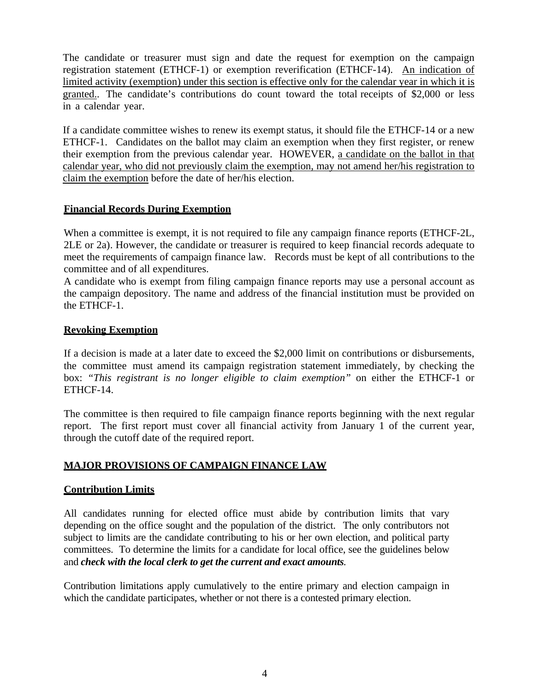The candidate or treasurer must sign and date the request for exemption on the campaign registration statement (ETHCF-1) or exemption reverification (ETHCF-14). An indication of limited activity (exemption) under this section is effective only for the calendar year in which it is granted.. The candidate's contributions do count toward the total receipts of \$2,000 or less in a calendar year.

If a candidate committee wishes to renew its exempt status, it should file the ETHCF-14 or a new ETHCF-1. Candidates on the ballot may claim an exemption when they first register, or renew their exemption from the previous calendar year. HOWEVER, a candidate on the ballot in that calendar year, who did not previously claim the exemption, may not amend her/his registration to claim the exemption before the date of her/his election.

#### **Financial Records During Exemption**

When a committee is exempt, it is not required to file any campaign finance reports (ETHCF-2L, 2LE or 2a). However, the candidate or treasurer is required to keep financial records adequate to meet the requirements of campaign finance law. Records must be kept of all contributions to the committee and of all expenditures.

A candidate who is exempt from filing campaign finance reports may use a personal account as the campaign depository. The name and address of the financial institution must be provided on the ETHCF-1.

#### **Revoking Exemption**

If a decision is made at a later date to exceed the \$2,000 limit on contributions or disbursements, the committee must amend its campaign registration statement immediately, by checking the box: *"This registrant is no longer eligible to claim exemption"* on either the ETHCF-1 or ETHCF-14.

The committee is then required to file campaign finance reports beginning with the next regular report. The first report must cover all financial activity from January 1 of the current year, through the cutoff date of the required report.

#### **MAJOR PROVISIONS OF CAMPAIGN FINANCE LAW**

#### **Contribution Limits**

All candidates running for elected office must abide by contribution limits that vary depending on the office sought and the population of the district. The only contributors not subject to limits are the candidate contributing to his or her own election, and political party committees. To determine the limits for a candidate for local office, see the guidelines below and *check with the local clerk to get the current and exact amounts.*

Contribution limitations apply cumulatively to the entire primary and election campaign in which the candidate participates, whether or not there is a contested primary election.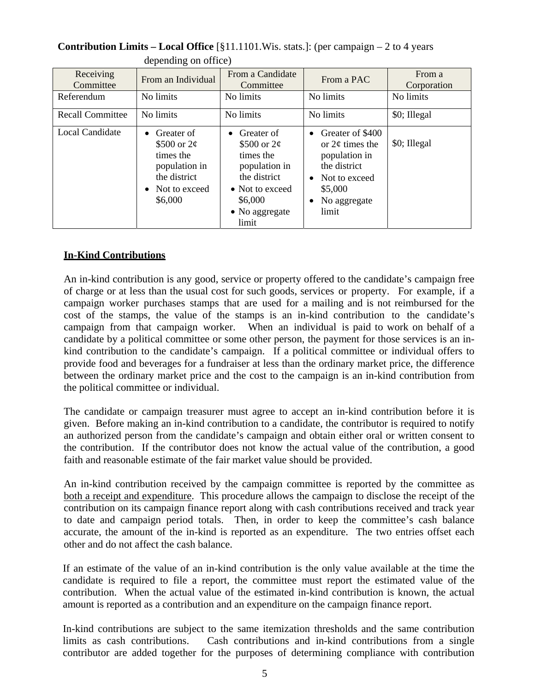| Receiving<br>Committee  | From an Individual                                                                                                    | From a Candidate<br>Committee                                                                                                         | From a PAC                                                                                                                                                 | From a<br>Corporation |
|-------------------------|-----------------------------------------------------------------------------------------------------------------------|---------------------------------------------------------------------------------------------------------------------------------------|------------------------------------------------------------------------------------------------------------------------------------------------------------|-----------------------|
| Referendum              | No limits                                                                                                             | No limits                                                                                                                             | No limits                                                                                                                                                  | No limits             |
| <b>Recall Committee</b> | No limits                                                                                                             | No limits                                                                                                                             | No limits                                                                                                                                                  | \$0; Illegal          |
| Local Candidate         | Greater of<br>$\bullet$<br>\$500 or $2\phi$<br>times the<br>population in<br>the district<br>Not to exceed<br>\$6,000 | Greater of<br>\$500 or $2\phi$<br>times the<br>population in<br>the district<br>• Not to exceed<br>\$6,000<br>• No aggregate<br>limit | Greater of \$400<br>$\bullet$<br>or $2¢$ times the<br>population in<br>the district<br>Not to exceed<br>$\bullet$<br>\$5,000<br>No aggregate<br>٠<br>limit | \$0; Illegal          |

#### **Contribution Limits – Local Office** [§11.1101.Wis. stats.]: (per campaign – 2 to 4 years depending on office)

#### **In-Kind Contributions**

An in-kind contribution is any good, service or property offered to the candidate's campaign free of charge or at less than the usual cost for such goods, services or property. For example, if a campaign worker purchases stamps that are used for a mailing and is not reimbursed for the cost of the stamps, the value of the stamps is an in-kind contribution to the candidate's campaign from that campaign worker. When an individual is paid to work on behalf of a candidate by a political committee or some other person, the payment for those services is an inkind contribution to the candidate's campaign. If a political committee or individual offers to provide food and beverages for a fundraiser at less than the ordinary market price, the difference between the ordinary market price and the cost to the campaign is an in-kind contribution from the political committee or individual.

The candidate or campaign treasurer must agree to accept an in-kind contribution before it is given. Before making an in-kind contribution to a candidate, the contributor is required to notify an authorized person from the candidate's campaign and obtain either oral or written consent to the contribution. If the contributor does not know the actual value of the contribution, a good faith and reasonable estimate of the fair market value should be provided.

An in-kind contribution received by the campaign committee is reported by the committee as both a receipt and expenditure. This procedure allows the campaign to disclose the receipt of the contribution on its campaign finance report along with cash contributions received and track year to date and campaign period totals. Then, in order to keep the committee's cash balance accurate, the amount of the in-kind is reported as an expenditure. The two entries offset each other and do not affect the cash balance.

If an estimate of the value of an in-kind contribution is the only value available at the time the candidate is required to file a report, the committee must report the estimated value of the contribution. When the actual value of the estimated in-kind contribution is known, the actual amount is reported as a contribution and an expenditure on the campaign finance report.

In-kind contributions are subject to the same itemization thresholds and the same contribution limits as cash contributions. Cash contributions and in-kind contributions from a single contributor are added together for the purposes of determining compliance with contribution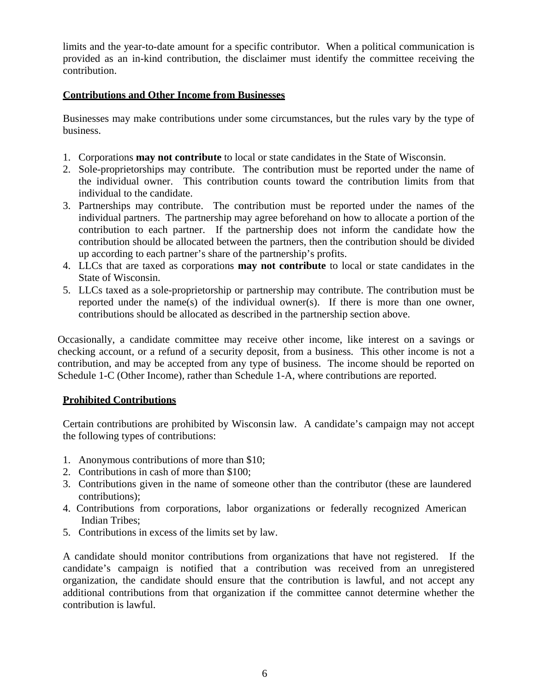limits and the year-to-date amount for a specific contributor. When a political communication is provided as an in-kind contribution, the disclaimer must identify the committee receiving the contribution.

#### **Contributions and Other Income from Businesses**

Businesses may make contributions under some circumstances, but the rules vary by the type of business.

- 1. Corporations **may not contribute** to local or state candidates in the State of Wisconsin.
- 2. Sole-proprietorships may contribute. The contribution must be reported under the name of the individual owner. This contribution counts toward the contribution limits from that individual to the candidate.
- 3. Partnerships may contribute. The contribution must be reported under the names of the individual partners. The partnership may agree beforehand on how to allocate a portion of the contribution to each partner. If the partnership does not inform the candidate how the contribution should be allocated between the partners, then the contribution should be divided up according to each partner's share of the partnership's profits.
- 4. LLCs that are taxed as corporations **may not contribute** to local or state candidates in the State of Wisconsin.
- 5. LLCs taxed as a sole-proprietorship or partnership may contribute. The contribution must be reported under the name(s) of the individual owner(s). If there is more than one owner, contributions should be allocated as described in the partnership section above.

Occasionally, a candidate committee may receive other income, like interest on a savings or checking account, or a refund of a security deposit, from a business. This other income is not a contribution, and may be accepted from any type of business. The income should be reported on Schedule 1-C (Other Income), rather than Schedule 1-A, where contributions are reported.

#### **Prohibited Contributions**

Certain contributions are prohibited by Wisconsin law. A candidate's campaign may not accept the following types of contributions:

- 1. Anonymous contributions of more than \$10;
- 2. Contributions in cash of more than \$100;
- 3. Contributions given in the name of someone other than the contributor (these are laundered contributions);
- 4. Contributions from corporations, labor organizations or federally recognized American Indian Tribes;
- 5. Contributions in excess of the limits set by law.

A candidate should monitor contributions from organizations that have not registered. If the candidate's campaign is notified that a contribution was received from an unregistered organization, the candidate should ensure that the contribution is lawful, and not accept any additional contributions from that organization if the committee cannot determine whether the contribution is lawful.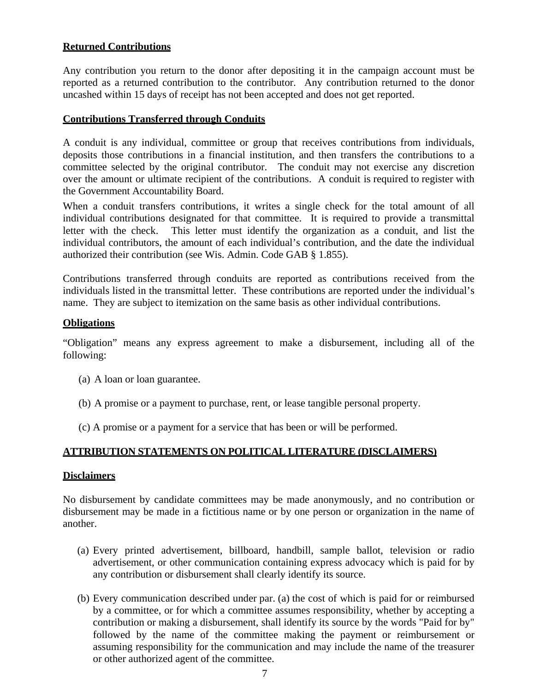#### **Returned Contributions**

Any contribution you return to the donor after depositing it in the campaign account must be reported as a returned contribution to the contributor. Any contribution returned to the donor uncashed within 15 days of receipt has not been accepted and does not get reported.

#### **Contributions Transferred through Conduits**

A conduit is any individual, committee or group that receives contributions from individuals, deposits those contributions in a financial institution, and then transfers the contributions to a committee selected by the original contributor. The conduit may not exercise any discretion over the amount or ultimate recipient of the contributions. A conduit is required to register with the Government Accountability Board.

When a conduit transfers contributions, it writes a single check for the total amount of all individual contributions designated for that committee. It is required to provide a transmittal letter with the check. This letter must identify the organization as a conduit, and list the individual contributors, the amount of each individual's contribution, and the date the individual authorized their contribution (see Wis. Admin. Code GAB § 1.855).

Contributions transferred through conduits are reported as contributions received from the individuals listed in the transmittal letter. These contributions are reported under the individual's name. They are subject to itemization on the same basis as other individual contributions.

#### **Obligations**

"Obligation" means any express agreement to make a disbursement, including all of the following:

- (a) A loan or loan guarantee.
- (b) A promise or a payment to purchase, rent, or lease tangible personal property.
- (c) A promise or a payment for a service that has been or will be performed.

#### **ATTRIBUTION STATEMENTS ON POLITICAL LITERATURE (DISCLAIMERS)**

#### **Disclaimers**

No disbursement by candidate committees may be made anonymously, and no contribution or disbursement may be made in a fictitious name or by one person or organization in the name of another.

- (a) Every printed advertisement, billboard, handbill, sample ballot, television or radio advertisement, or other communication containing express advocacy which is paid for by any contribution or disbursement shall clearly identify its source.
- (b) Every communication described under par. (a) the cost of which is paid for or reimbursed by a committee, or for which a committee assumes responsibility, whether by accepting a contribution or making a disbursement, shall identify its source by the words "Paid for by" followed by the name of the committee making the payment or reimbursement or assuming responsibility for the communication and may include the name of the treasurer or other authorized agent of the committee.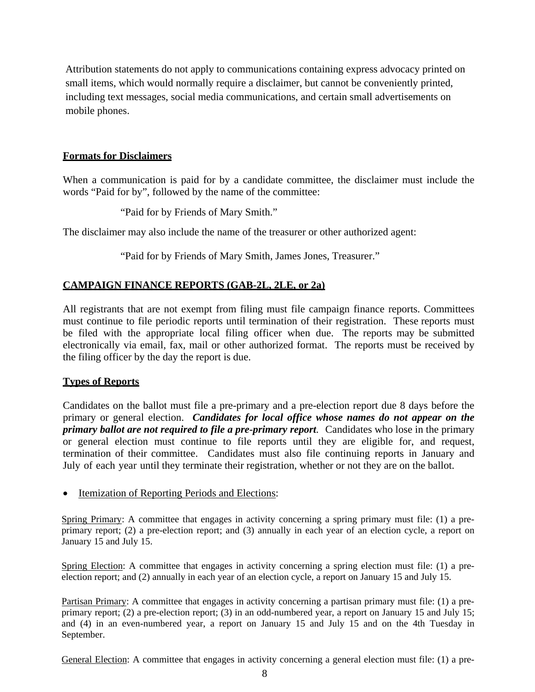Attribution statements do not apply to communications containing express advocacy printed on small items, which would normally require a disclaimer, but cannot be conveniently printed, including text messages, social media communications, and certain small advertisements on mobile phones.

#### **Formats for Disclaimers**

When a communication is paid for by a candidate committee, the disclaimer must include the words "Paid for by", followed by the name of the committee:

"Paid for by Friends of Mary Smith."

The disclaimer may also include the name of the treasurer or other authorized agent:

"Paid for by Friends of Mary Smith, James Jones, Treasurer."

#### **CAMPAIGN FINANCE REPORTS (GAB-2L, 2LE, or 2a)**

All registrants that are not exempt from filing must file campaign finance reports. Committees must continue to file periodic reports until termination of their registration. These reports must be filed with the appropriate local filing officer when due. The reports may be submitted electronically via email, fax, mail or other authorized format. The reports must be received by the filing officer by the day the report is due.

#### **Types of Reports**

Candidates on the ballot must file a pre-primary and a pre-election report due 8 days before the primary or general election. *Candidates for local office whose names do not appear on the primary ballot are not required to file a pre-primary report*. Candidates who lose in the primary or general election must continue to file reports until they are eligible for, and request, termination of their committee. Candidates must also file continuing reports in January and July of each year until they terminate their registration, whether or not they are on the ballot.

#### • Itemization of Reporting Periods and Elections:

Spring Primary: A committee that engages in activity concerning a spring primary must file: (1) a preprimary report; (2) a pre-election report; and (3) annually in each year of an election cycle, a report on January 15 and July 15.

Spring Election: A committee that engages in activity concerning a spring election must file: (1) a preelection report; and (2) annually in each year of an election cycle, a report on January 15 and July 15.

Partisan Primary: A committee that engages in activity concerning a partisan primary must file: (1) a preprimary report; (2) a pre-election report; (3) in an odd-numbered year, a report on January 15 and July 15; and (4) in an even-numbered year, a report on January 15 and July 15 and on the 4th Tuesday in September.

General Election: A committee that engages in activity concerning a general election must file: (1) a pre-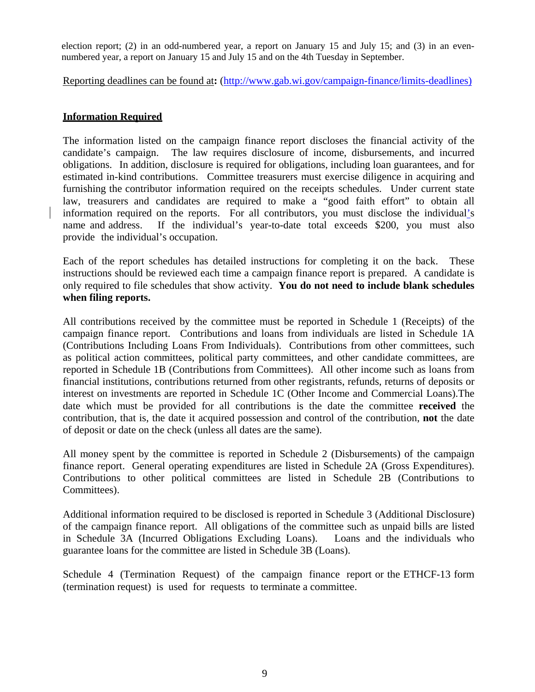election report; (2) in an odd-numbered year, a report on January 15 and July 15; and (3) in an evennumbered year, a report on January 15 and July 15 and on the 4th Tuesday in September.

Reporting deadlines can be found at**:** (http://www.gab.wi.gov/campaign-finance/limits-deadlines)

#### **Information Required**

The information listed on the campaign finance report discloses the financial activity of the candidate's campaign. The law requires disclosure of income, disbursements, and incurred obligations. In addition, disclosure is required for obligations, including loan guarantees, and for estimated in-kind contributions. Committee treasurers must exercise diligence in acquiring and furnishing the contributor information required on the receipts schedules. Under current state law, treasurers and candidates are required to make a "good faith effort" to obtain all information required on the reports. For all contributors, you must disclose the individual's name and address. If the individual's year-to-date total exceeds \$200, you must also provide the individual's occupation.

Each of the report schedules has detailed instructions for completing it on the back. These instructions should be reviewed each time a campaign finance report is prepared. A candidate is only required to file schedules that show activity. **You do not need to include blank schedules when filing reports.**

All contributions received by the committee must be reported in Schedule 1 (Receipts) of the campaign finance report. Contributions and loans from individuals are listed in Schedule 1A (Contributions Including Loans From Individuals). Contributions from other committees, such as political action committees, political party committees, and other candidate committees, are reported in Schedule 1B (Contributions from Committees). All other income such as loans from financial institutions, contributions returned from other registrants, refunds, returns of deposits or interest on investments are reported in Schedule 1C (Other Income and Commercial Loans).The date which must be provided for all contributions is the date the committee **received** the contribution, that is, the date it acquired possession and control of the contribution, **not** the date of deposit or date on the check (unless all dates are the same).

All money spent by the committee is reported in Schedule 2 (Disbursements) of the campaign finance report. General operating expenditures are listed in Schedule 2A (Gross Expenditures). Contributions to other political committees are listed in Schedule 2B (Contributions to Committees).

Additional information required to be disclosed is reported in Schedule 3 (Additional Disclosure) of the campaign finance report. All obligations of the committee such as unpaid bills are listed in Schedule 3A (Incurred Obligations Excluding Loans). Loans and the individuals who guarantee loans for the committee are listed in Schedule 3B (Loans).

Schedule 4 (Termination Request) of the campaign finance report or the ETHCF-13 form (termination request) is used for requests to terminate a committee.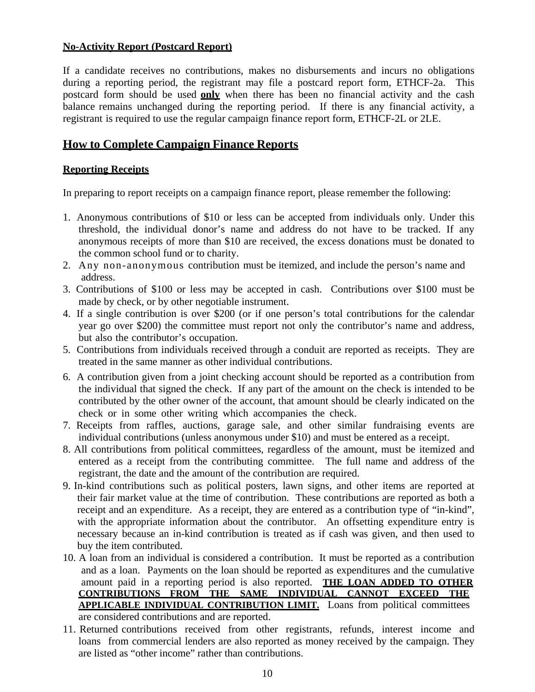#### **No-Activity Report (Postcard Report)**

If a candidate receives no contributions, makes no disbursements and incurs no obligations during a reporting period, the registrant may file a postcard report form, ETHCF-2a. This postcard form should be used **only** when there has been no financial activity and the cash balance remains unchanged during the reporting period. If there is any financial activity, a registrant is required to use the regular campaign finance report form, ETHCF-2L or 2LE.

#### **How to Complete Campaign Finance Reports**

#### **Reporting Receipts**

In preparing to report receipts on a campaign finance report, please remember the following:

- 1. Anonymous contributions of \$10 or less can be accepted from individuals only. Under this threshold, the individual donor's name and address do not have to be tracked. If any anonymous receipts of more than \$10 are received, the excess donations must be donated to the common school fund or to charity.
- 2. Any non-anonymous contribution must be itemized, and include the person's name and address.
- 3. Contributions of \$100 or less may be accepted in cash. Contributions over \$100 must be made by check, or by other negotiable instrument.
- 4. If a single contribution is over \$200 (or if one person's total contributions for the calendar year go over \$200) the committee must report not only the contributor's name and address, but also the contributor's occupation.
- 5. Contributions from individuals received through a conduit are reported as receipts. They are treated in the same manner as other individual contributions.
- 6. A contribution given from a joint checking account should be reported as a contribution from the individual that signed the check. If any part of the amount on the check is intended to be contributed by the other owner of the account, that amount should be clearly indicated on the check or in some other writing which accompanies the check.
- 7. Receipts from raffles, auctions, garage sale, and other similar fundraising events are individual contributions (unless anonymous under \$10) and must be entered as a receipt.
- 8. All contributions from political committees, regardless of the amount, must be itemized and entered as a receipt from the contributing committee. The full name and address of the registrant, the date and the amount of the contribution are required.
- 9. In-kind contributions such as political posters, lawn signs, and other items are reported at their fair market value at the time of contribution. These contributions are reported as both a receipt and an expenditure. As a receipt, they are entered as a contribution type of "in-kind", with the appropriate information about the contributor. An offsetting expenditure entry is necessary because an in-kind contribution is treated as if cash was given, and then used to buy the item contributed.
- 10. A loan from an individual is considered a contribution. It must be reported as a contribution and as a loan. Payments on the loan should be reported as expenditures and the cumulative amount paid in a reporting period is also reported. **THE LOAN ADDED TO OTHER CONTRIBUTIONS FROM THE SAME INDIVIDUAL CANNOT EXCEED THE APPLICABLE INDIVIDUAL CONTRIBUTION LIMIT.** Loans from political committees are considered contributions and are reported.
- 11. Returned contributions received from other registrants, refunds, interest income and loans from commercial lenders are also reported as money received by the campaign. They are listed as "other income" rather than contributions.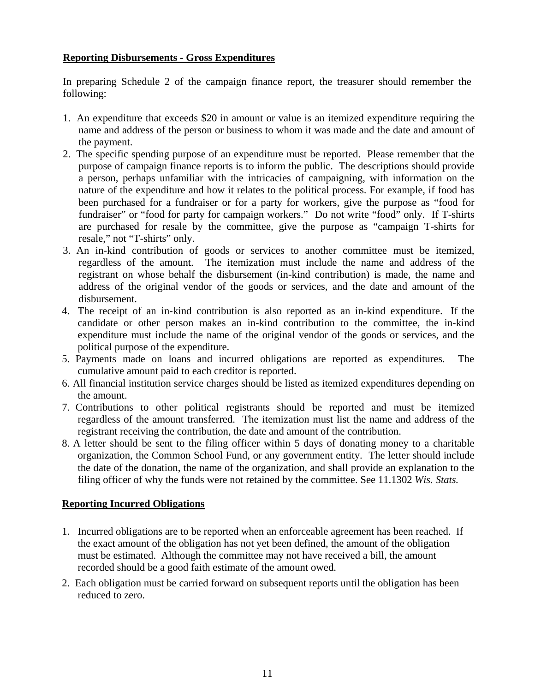#### **Reporting Disbursements - Gross Expenditures**

In preparing Schedule 2 of the campaign finance report, the treasurer should remember the following:

- 1. An expenditure that exceeds \$20 in amount or value is an itemized expenditure requiring the name and address of the person or business to whom it was made and the date and amount of the payment.
- 2. The specific spending purpose of an expenditure must be reported. Please remember that the purpose of campaign finance reports is to inform the public. The descriptions should provide a person, perhaps unfamiliar with the intricacies of campaigning, with information on the nature of the expenditure and how it relates to the political process. For example, if food has been purchased for a fundraiser or for a party for workers, give the purpose as "food for fundraiser" or "food for party for campaign workers." Do not write "food" only. If T-shirts are purchased for resale by the committee, give the purpose as "campaign T-shirts for resale," not "T-shirts" only.
- 3. An in-kind contribution of goods or services to another committee must be itemized, regardless of the amount. The itemization must include the name and address of the registrant on whose behalf the disbursement (in-kind contribution) is made, the name and address of the original vendor of the goods or services, and the date and amount of the disbursement.
- 4. The receipt of an in-kind contribution is also reported as an in-kind expenditure. If the candidate or other person makes an in-kind contribution to the committee, the in-kind expenditure must include the name of the original vendor of the goods or services, and the political purpose of the expenditure.
- 5. Payments made on loans and incurred obligations are reported as expenditures. The cumulative amount paid to each creditor is reported.
- 6. All financial institution service charges should be listed as itemized expenditures depending on the amount.
- 7. Contributions to other political registrants should be reported and must be itemized regardless of the amount transferred. The itemization must list the name and address of the registrant receiving the contribution, the date and amount of the contribution.
- 8. A letter should be sent to the filing officer within 5 days of donating money to a charitable organization, the Common School Fund, or any government entity. The letter should include the date of the donation, the name of the organization, and shall provide an explanation to the filing officer of why the funds were not retained by the committee. See 11.1302 *Wis. Stats.*

#### **Reporting Incurred Obligations**

- 1. Incurred obligations are to be reported when an enforceable agreement has been reached. If the exact amount of the obligation has not yet been defined, the amount of the obligation must be estimated. Although the committee may not have received a bill, the amount recorded should be a good faith estimate of the amount owed.
- 2. Each obligation must be carried forward on subsequent reports until the obligation has been reduced to zero.